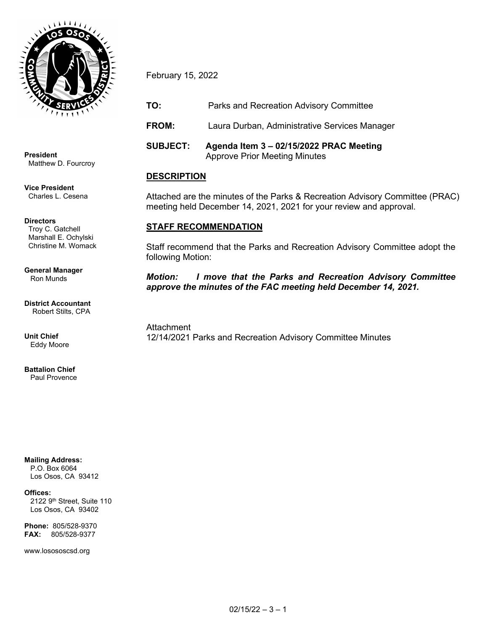

**President** Matthew D. Fourcroy

**Vice President** Charles L. Cesena

**Directors** Troy C. Gatchell Marshall E. Ochylski Christine M. Womack

**General Manager** Ron Munds

**District Accountant** Robert Stilts, CPA

**Unit Chief** Eddy Moore

**Battalion Chief** Paul Provence

**Mailing Address:**

 P.O. Box 6064 Los Osos, CA 93412

#### **Offices:**

2122 9<sup>th</sup> Street, Suite 110 Los Osos, CA 93402

**Phone:** 805/528-9370 **FAX:** 805/528-9377

www.losososcsd.org

February 15, 2022

**TO:** Parks and Recreation Advisory Committee

**FROM:** Laura Durban, Administrative Services Manager

**SUBJECT: Agenda Item 3 – 02/15/2022 PRAC Meeting**  Approve Prior Meeting Minutes

# **DESCRIPTION**

Attached are the minutes of the Parks & Recreation Advisory Committee (PRAC) meeting held December 14, 2021, 2021 for your review and approval.

## **STAFF RECOMMENDATION**

Staff recommend that the Parks and Recreation Advisory Committee adopt the following Motion:

*Motion: I move that the Parks and Recreation Advisory Committee approve the minutes of the FAC meeting held December 14, 2021.*

**Attachment** 12/14/2021 Parks and Recreation Advisory Committee Minutes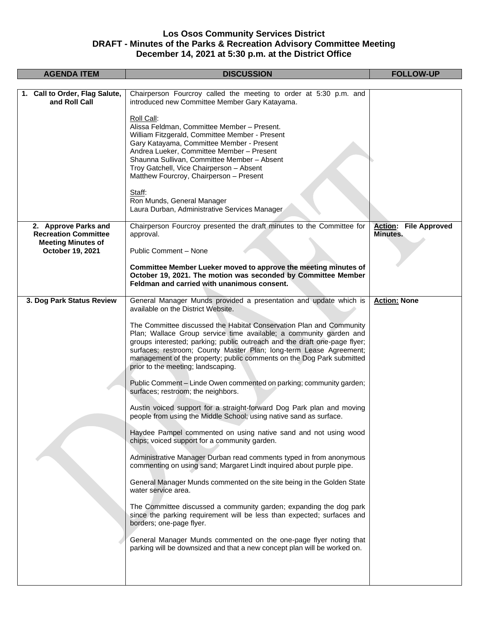### **Los Osos Community Services District DRAFT - Minutes of the Parks & Recreation Advisory Committee Meeting December 14, 2021 at 5:30 p.m. at the District Office**

| <b>AGENDA ITEM</b>                              | <b>DISCUSSION</b>                                                                                                                                                                                                                                                                                                                                                                                           | <b>FOLLOW-UP</b>             |
|-------------------------------------------------|-------------------------------------------------------------------------------------------------------------------------------------------------------------------------------------------------------------------------------------------------------------------------------------------------------------------------------------------------------------------------------------------------------------|------------------------------|
|                                                 |                                                                                                                                                                                                                                                                                                                                                                                                             |                              |
| 1. Call to Order, Flag Salute,<br>and Roll Call | Chairperson Fourcroy called the meeting to order at 5:30 p.m. and<br>introduced new Committee Member Gary Katayama.                                                                                                                                                                                                                                                                                         |                              |
|                                                 | Roll Call:<br>Alissa Feldman, Committee Member - Present.<br>William Fitzgerald, Committee Member - Present<br>Gary Katayama, Committee Member - Present<br>Andrea Lueker, Committee Member - Present<br>Shaunna Sullivan, Committee Member - Absent<br>Troy Gatchell, Vice Chairperson - Absent<br>Matthew Fourcroy, Chairperson - Present                                                                 |                              |
|                                                 | Staff:<br>Ron Munds, General Manager<br>Laura Durban, Administrative Services Manager                                                                                                                                                                                                                                                                                                                       |                              |
| 2. Approve Parks and                            | Chairperson Fourcroy presented the draft minutes to the Committee for                                                                                                                                                                                                                                                                                                                                       | <b>Action: File Approved</b> |
| <b>Recreation Committee</b>                     | approval.                                                                                                                                                                                                                                                                                                                                                                                                   | Minutes.                     |
| <b>Meeting Minutes of</b>                       |                                                                                                                                                                                                                                                                                                                                                                                                             |                              |
| October 19, 2021                                | Public Comment - None                                                                                                                                                                                                                                                                                                                                                                                       |                              |
|                                                 | Committee Member Lueker moved to approve the meeting minutes of<br>October 19, 2021. The motion was seconded by Committee Member<br>Feldman and carried with unanimous consent.                                                                                                                                                                                                                             |                              |
| 3. Dog Park Status Review                       | General Manager Munds provided a presentation and update which is<br>available on the District Website.                                                                                                                                                                                                                                                                                                     | <b>Action: None</b>          |
|                                                 | The Committee discussed the Habitat Conservation Plan and Community<br>Plan; Wallace Group service time available; a community garden and<br>groups interested; parking; public outreach and the draft one-page flyer;<br>surfaces; restroom; County Master Plan; long-term Lease Agreement;<br>management of the property; public comments on the Dog Park submitted<br>prior to the meeting; landscaping. |                              |
|                                                 | Public Comment - Linde Owen commented on parking; community garden;<br>surfaces; restroom; the neighbors.                                                                                                                                                                                                                                                                                                   |                              |
|                                                 | Austin voiced support for a straight-forward Dog Park plan and moving<br>people from using the Middle School; using native sand as surface.                                                                                                                                                                                                                                                                 |                              |
|                                                 | Haydee Pampel commented on using native sand and not using wood<br>chips; voiced support for a community garden.                                                                                                                                                                                                                                                                                            |                              |
|                                                 | Administrative Manager Durban read comments typed in from anonymous<br>commenting on using sand; Margaret Lindt inquired about purple pipe.                                                                                                                                                                                                                                                                 |                              |
|                                                 | General Manager Munds commented on the site being in the Golden State<br>water service area.                                                                                                                                                                                                                                                                                                                |                              |
|                                                 | The Committee discussed a community garden; expanding the dog park<br>since the parking requirement will be less than expected; surfaces and<br>borders; one-page flyer.                                                                                                                                                                                                                                    |                              |
|                                                 | General Manager Munds commented on the one-page flyer noting that<br>parking will be downsized and that a new concept plan will be worked on.                                                                                                                                                                                                                                                               |                              |
|                                                 |                                                                                                                                                                                                                                                                                                                                                                                                             |                              |